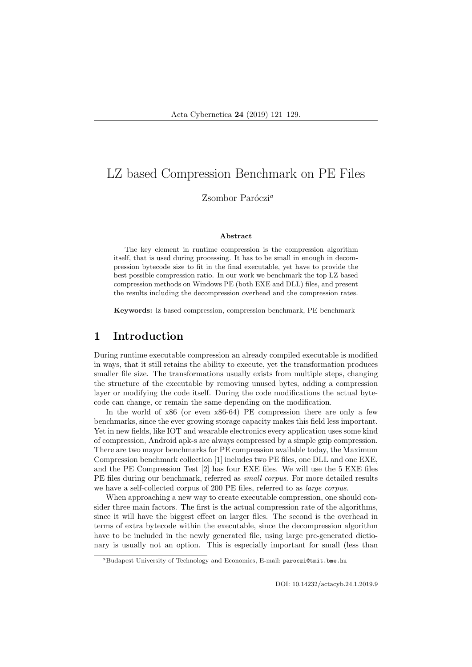# LZ based Compression Benchmark on PE Files

Zsombor Paróczi $^a$ 

#### Abstract

The key element in runtime compression is the compression algorithm itself, that is used during processing. It has to be small in enough in decompression bytecode size to fit in the final executable, yet have to provide the best possible compression ratio. In our work we benchmark the top LZ based compression methods on Windows PE (both EXE and DLL) files, and present the results including the decompression overhead and the compression rates.

Keywords: lz based compression, compression benchmark, PE benchmark

#### 1 Introduction

During runtime executable compression an already compiled executable is modified in ways, that it still retains the ability to execute, yet the transformation produces smaller file size. The transformations usually exists from multiple steps, changing the structure of the executable by removing unused bytes, adding a compression layer or modifying the code itself. During the code modifications the actual bytecode can change, or remain the same depending on the modification.

In the world of x86 (or even x86-64) PE compression there are only a few benchmarks, since the ever growing storage capacity makes this field less important. Yet in new fields, like IOT and wearable electronics every application uses some kind of compression, Android apk-s are always compressed by a simple gzip compression. There are two mayor benchmarks for PE compression available today, the Maximum Compression benchmark collection [1] includes two PE files, one DLL and one EXE, and the PE Compression Test [2] has four EXE files. We will use the 5 EXE files PE files during our benchmark, referred as *small corpus*. For more detailed results we have a self-collected corpus of 200 PE files, referred to as *large corpus*.

When approaching a new way to create executable compression, one should consider three main factors. The first is the actual compression rate of the algorithms, since it will have the biggest effect on larger files. The second is the overhead in terms of extra bytecode within the executable, since the decompression algorithm have to be included in the newly generated file, using large pre-generated dictionary is usually not an option. This is especially important for small (less than

 ${}^a$ Budapest University of Technology and Economics, E-mail: paroczi@tmit.bme.hu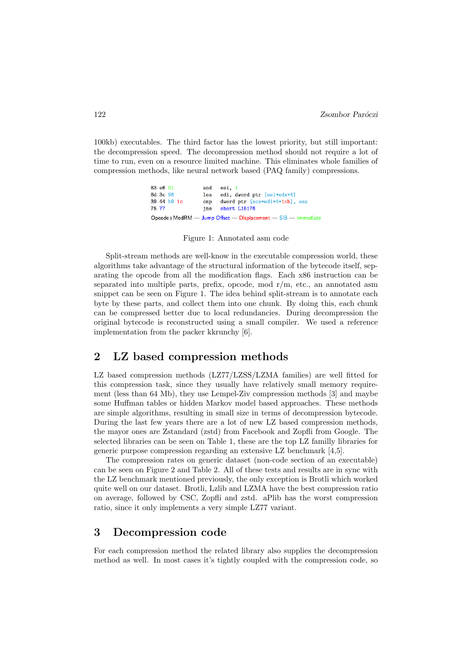100kb) executables. The third factor has the lowest priority, but still important: the decompression speed. The decompression method should not require a lot of time to run, even on a resource limited machine. This eliminates whole families of compression methods, like neural network based (PAQ family) compressions.

> 83 e6 01 and esi. 1 8d 3c 96 edi, dword ptr [esi+edx\*4] 1ea 39 44 h9 1c  $cmp$ dword ptr [ecx+edi\*4+1ch], eax 75 77 short L15176 jne Opcode+ModRM - Jump Offset - Displacement - SIB - Immediate

Figure 1: Annotated asm code

Split-stream methods are well-know in the executable compression world, these algorithms take advantage of the structural information of the bytecode itself, separating the opcode from all the modification flags. Each x86 instruction can be separated into multiple parts, prefix, opcode, mod r/m, etc., an annotated asm snippet can be seen on Figure 1. The idea behind split-stream is to annotate each byte by these parts, and collect them into one chunk. By doing this, each chunk can be compressed better due to local redundancies. During decompression the original bytecode is reconstructed using a small compiler. We used a reference implementation from the packer kkrunchy [6].

#### 2 LZ based compression methods

LZ based compression methods (LZ77/LZSS/LZMA families) are well fitted for this compression task, since they usually have relatively small memory requirement (less than 64 Mb), they use Lempel-Ziv compression methods [3] and maybe some Huffman tables or hidden Markov model based approaches. These methods are simple algorithms, resulting in small size in terms of decompression bytecode. During the last few years there are a lot of new LZ based compression methods, the mayor ones are Zstandard (zstd) from Facebook and Zopfli from Google. The selected libraries can be seen on Table 1, these are the top LZ familly libraries for generic purpose compression regarding an extensive LZ benchmark [4,5].

The compression rates on generic dataset (non-code section of an executable) can be seen on Figure 2 and Table 2. All of these tests and results are in sync with the LZ benchmark mentioned previously, the only exception is Brotli which worked quite well on our dataset. Brotli, Lzlib and LZMA have the best compression ratio on average, followed by CSC, Zopfli and zstd. aPlib has the worst compression ratio, since it only implements a very simple LZ77 variant.

#### 3 Decompression code

For each compression method the related library also supplies the decompression method as well. In most cases it's tightly coupled with the compression code, so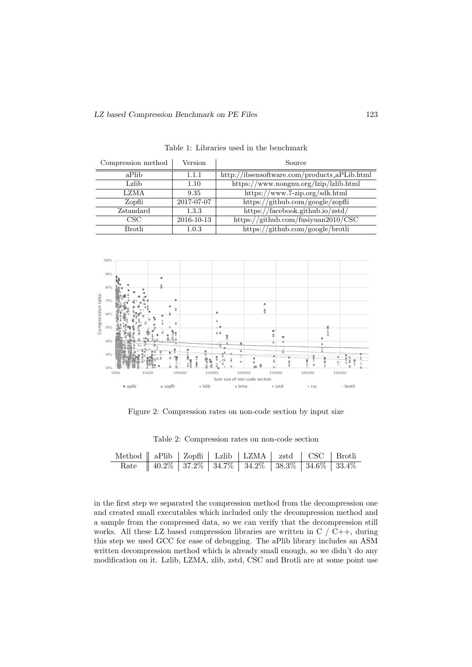| Compression method | Version    | Source                                       |
|--------------------|------------|----------------------------------------------|
| aPlib              | 1.1.1      | http://ibsensoftware.com/products_aPLib.html |
| Lzlib              | 1.10       | https://www.nongnu.org/lzip/lzlib.html       |
| <b>LZMA</b>        | 9.35       | https://www.7-zip.org/sdk.html               |
| Zopfli             | 2017-07-07 | https://github.com/google/zopfli             |
| Zstandard          | 1.3.3      | https://facebook.github.io/zstd/             |
| CSC                | 2016-10-13 | https://github.com/fusiyuan2010/CSC          |
| Brotli             | 1.0.3      | https://github.com/google/brotli             |

Table 1: Libraries used in the benchmark



Figure 2: Compression rates on non-code section by input size

|  | Table 2: Compression rates on non-code section |  |  |  |
|--|------------------------------------------------|--|--|--|
|--|------------------------------------------------|--|--|--|

| Method    aPlib   Zopfli   Lzlib   LZMA   zstd   CSC   Brotli |  |                                                       |  |  |
|---------------------------------------------------------------|--|-------------------------------------------------------|--|--|
|                                                               |  | Rate 40.2\% 37.2\% 34.7\% 34.2\% 38.3\% 34.6\% 33.4\% |  |  |

in the first step we separated the compression method from the decompression one and created small executables which included only the decompression method and a sample from the compressed data, so we can verify that the decompression still works. All these LZ based compression libraries are written in  $C / C$ ++, during this step we used GCC for ease of debugging. The aPlib library includes an ASM written decompression method which is already small enough, so we didn't do any modification on it. Lzlib, LZMA, zlib, zstd, CSC and Brotli are at some point use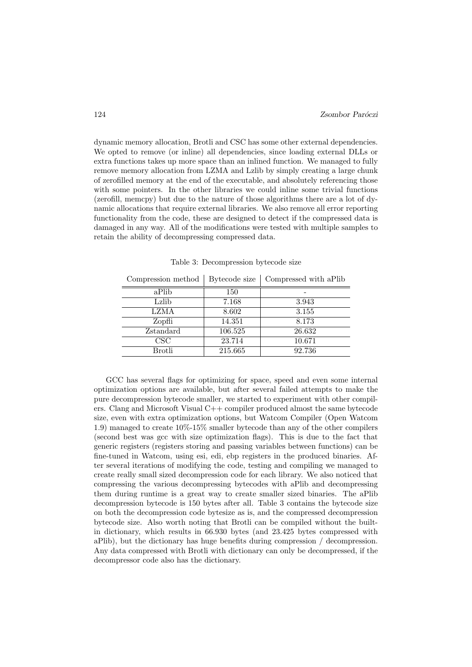dynamic memory allocation, Brotli and CSC has some other external dependencies. We opted to remove (or inline) all dependencies, since loading external DLLs or extra functions takes up more space than an inlined function. We managed to fully remove memory allocation from LZMA and Lzlib by simply creating a large chunk of zerofilled memory at the end of the executable, and absolutely referencing those with some pointers. In the other libraries we could inline some trivial functions (zerofill, memcpy) but due to the nature of those algorithms there are a lot of dynamic allocations that require external libraries. We also remove all error reporting functionality from the code, these are designed to detect if the compressed data is damaged in any way. All of the modifications were tested with multiple samples to retain the ability of decompressing compressed data.

| Compression method | Bytecode size | Compressed with a Plib |
|--------------------|---------------|------------------------|
| aPlib              | 150           |                        |
| Lzlib              | 7.168         | 3.943                  |
| LZMA               | 8.602         | 3.155                  |
| Zopfli             | 14.351        | 8.173                  |
| Zstandard          | 106.525       | 26.632                 |
| CSC                | 23.714        | 10.671                 |
| Brotli             | 215.665       | 92.736                 |

Table 3: Decompression bytecode size

GCC has several flags for optimizing for space, speed and even some internal optimization options are available, but after several failed attempts to make the pure decompression bytecode smaller, we started to experiment with other compilers. Clang and Microsoft Visual C++ compiler produced almost the same bytecode size, even with extra optimization options, but Watcom Compiler (Open Watcom 1.9) managed to create 10%-15% smaller bytecode than any of the other compilers (second best was gcc with size optimization flags). This is due to the fact that generic registers (registers storing and passing variables between functions) can be fine-tuned in Watcom, using esi, edi, ebp registers in the produced binaries. After several iterations of modifying the code, testing and compiling we managed to create really small sized decompression code for each library. We also noticed that compressing the various decompressing bytecodes with aPlib and decompressing them during runtime is a great way to create smaller sized binaries. The aPlib decompression bytecode is 150 bytes after all. Table 3 contains the bytecode size on both the decompression code bytesize as is, and the compressed decompression bytecode size. Also worth noting that Brotli can be compiled without the builtin dictionary, which results in 66.930 bytes (and 23.425 bytes compressed with aPlib), but the dictionary has huge benefits during compression / decompression. Any data compressed with Brotli with dictionary can only be decompressed, if the decompressor code also has the dictionary.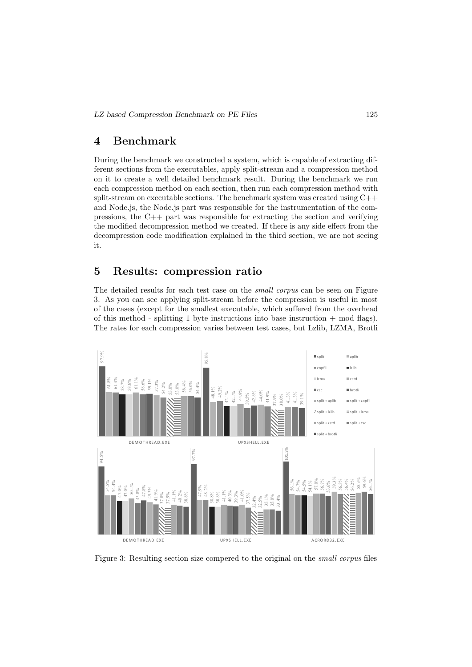#### 4 Benchmark

During the benchmark we constructed a system, which is capable of extracting different sections from the executables, apply split-stream and a compression method on it to create a well detailed benchmark result. During the benchmark we run each compression method on each section, then run each compression method with split-stream on executable sections. The benchmark system was created using  $C++$ and Node.js, the Node.js part was responsible for the instrumentation of the compressions, the C++ part was responsible for extracting the section and verifying the modified decompression method we created. If there is any side effect from the decompression code modification explained in the third section, we are not seeing it.

#### 5 Results: compression ratio

The detailed results for each test case on the small corpus can be seen on Figure 3. As you can see applying split-stream before the compression is useful in most of the cases (except for the smallest executable, which suffered from the overhead of this method - splitting 1 byte instructions into base instruction  $+$  mod flags). The rates for each compression varies between test cases, but Lzlib, LZMA, Brotli



Figure 3: Resulting section size compered to the original on the small corpus files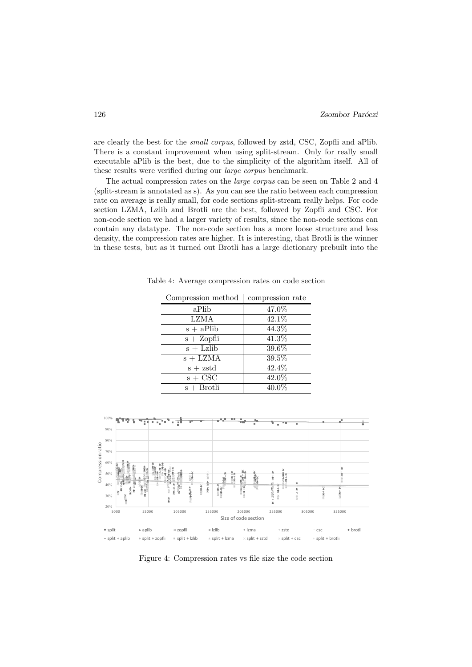are clearly the best for the small corpus, followed by zstd, CSC, Zopfli and aPlib. There is a constant improvement when using split-stream. Only for really small executable aPlib is the best, due to the simplicity of the algorithm itself. All of these results were verified during our large corpus benchmark.

The actual compression rates on the large corpus can be seen on Table 2 and 4 (split-stream is annotated as s). As you can see the ratio between each compression rate on average is really small, for code sections split-stream really helps. For code section LZMA, Lzlib and Brotli are the best, followed by Zopfli and CSC. For non-code section we had a larger variety of results, since the non-code sections can contain any datatype. The non-code section has a more loose structure and less density, the compression rates are higher. It is interesting, that Brotli is the winner in these tests, but as it turned out Brotli has a large dictionary prebuilt into the

| Compression method               | compression rate    |
|----------------------------------|---------------------|
| aPlib                            | 47.0%               |
| <b>LZMA</b>                      | $42.\overline{1\%}$ |
| $s + aPlib$                      | 44.3%               |
| $s + Zopfli$                     | $41.\overline{3\%}$ |
| $s +$ Lzlib                      | 39.6%               |
| $s + LZMA$                       | 39.5%               |
| $s + zstd$                       | 42.4%               |
| $s + \overline{C} \overline{SC}$ | 42.0%               |
| $s + B$ rotli                    | $40.0\%$            |

Table 4: Average compression rates on code section



Figure 4: Compression rates vs file size the code section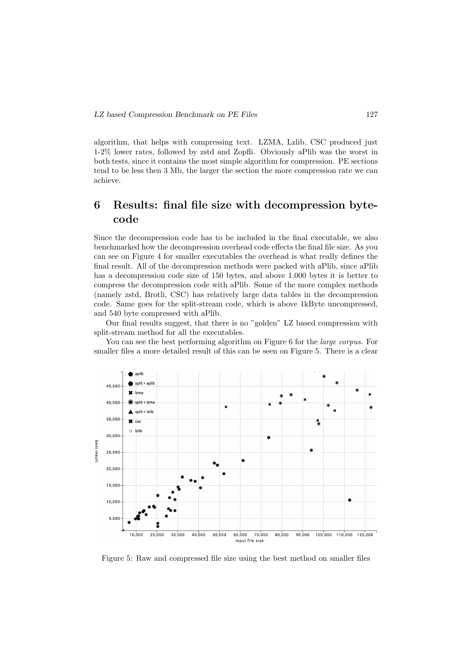algorithm, that helps with compressing text. LZMA, Lzlib, CSC produced just 1-2% lower rates, followed by zstd and Zopfli. Obviously aPlib was the worst in both tests, since it contains the most simple algorithm for compression. PE sections tend to be less then 3 Mb, the larger the section the more compression rate we can achieve.

## 6 Results: final file size with decompression bytecode

Since the decompression code has to be included in the final executable, we also benchmarked how the decompression overhead code effects the final file size. As you can see on Figure 4 for smaller executables the overhead is what really defines the final result. All of the decompression methods were packed with aPlib, since aPlib has a decompression code size of 150 bytes, and above 1.000 bytes it is better to compress the decompression code with aPlib. Some of the more complex methods (namely zstd, Brotli, CSC) has relatively large data tables in the decompression code. Same goes for the split-stream code, which is above 1kByte uncompressed, and 540 byte compressed with aPlib.

Our final results suggest, that there is no "golden" LZ based compression with split-stream method for all the executables.

You can see the best performing algorithm on Figure 6 for the *large corpus*. For smaller files a more detailed result of this can be seen on Figure 5. There is a clear



Figure 5: Raw and compressed file size using the best method on smaller files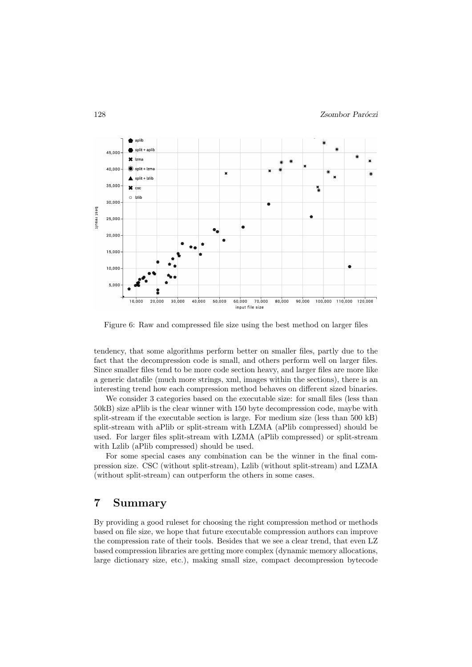

Figure 6: Raw and compressed file size using the best method on larger files

tendency, that some algorithms perform better on smaller files, partly due to the fact that the decompression code is small, and others perform well on larger files. Since smaller files tend to be more code section heavy, and larger files are more like a generic datafile (much more strings, xml, images within the sections), there is an interesting trend how each compression method behaves on different sized binaries.

We consider 3 categories based on the executable size: for small files (less than 50kB) size aPlib is the clear winner with 150 byte decompression code, maybe with split-stream if the executable section is large. For medium size (less than 500 kB) split-stream with aPlib or split-stream with LZMA (aPlib compressed) should be used. For larger files split-stream with LZMA (aPlib compressed) or split-stream with Lzlib (aPlib compressed) should be used.

For some special cases any combination can be the winner in the final compression size. CSC (without split-stream), Lzlib (without split-stream) and LZMA (without split-stream) can outperform the others in some cases.

#### 7 Summary

By providing a good ruleset for choosing the right compression method or methods based on file size, we hope that future executable compression authors can improve the compression rate of their tools. Besides that we see a clear trend, that even LZ based compression libraries are getting more complex (dynamic memory allocations, large dictionary size, etc.), making small size, compact decompression bytecode